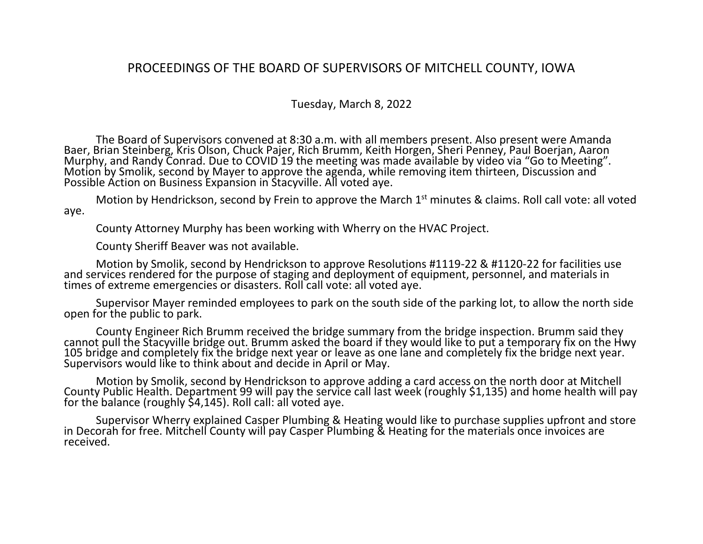## PROCEEDINGS OF THE BOARD OF SUPERVISORS OF MITCHELL COUNTY, IOWA

## Tuesday, March 8, 2022

The Board of Supervisors convened at 8:30 a.m. with all members present. Also present were Amanda Baer, Brian Steinberg, Kris Olson, Chuck Pajer, Rich Brumm, Keith Horgen, Sheri Penney, Paul Boerjan, Aaron Murphy, and Randy Conrad. Due to COVID 19 the meeting was made available by video via "Go to Meeting". Motion by Smolik, second by Mayer to approve the agenda, while removing item thirteen, Discussion and Possible Action on Business Expansion in Stacyville. All voted aye.

Motion by Hendrickson, second by Frein to approve the March 1<sup>st</sup> minutes & claims. Roll call vote: all voted aye.

County Attorney Murphy has been working with Wherry on the HVAC Project.

County Sheriff Beaver was not available.

Motion by Smolik, second by Hendrickson to approve Resolutions #1119-22 & #1120-22 for facilities use and services rendered for the purpose of staging and deployment of equipment, personnel, and materials in times of extreme emergencies or disasters. Roll call vote: all voted aye.

Supervisor Mayer reminded employees to park on the south side of the parking lot, to allow the north side open for the public to park.

County Engineer Rich Brumm received the bridge summary from the bridge inspection. Brumm said they cannot pull the Stacyville bridge out. Brumm asked the board if they would like to put a temporary fix on the Hwy 105 bridge and completely fix the bridge next year or leave as one lane and completely fix the bridge next year. Supervisors would like to think about and decide in April or May.

Motion by Smolik, second by Hendrickson to approve adding a card access on the north door at Mitchell County Public Health. Department 99 will pay the service call last week (roughly \$1,135) and home health will pay for the balance (roughly \$4,145). Roll call: all voted aye.

Supervisor Wherry explained Casper Plumbing & Heating would like to purchase supplies upfront and store in Decorah for free. Mitchell County will pay Casper Plumbing & Heating for the materials once invoices are received.